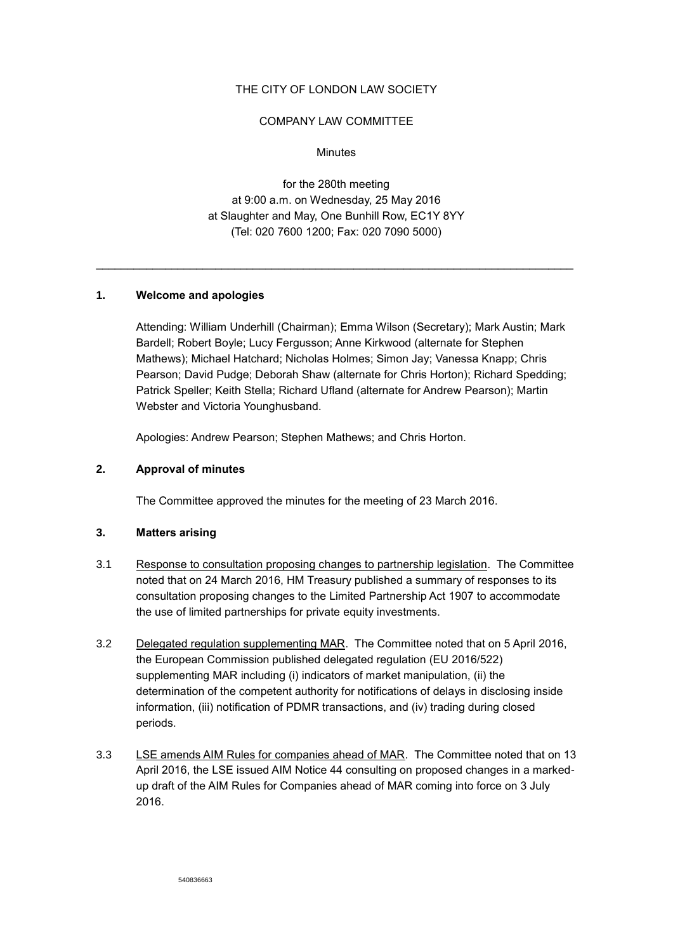## THE CITY OF LONDON LAW SOCIETY

### COMPANY LAW COMMITTEE

### **Minutes**

for the 280th meeting at 9:00 a.m. on Wednesday, 25 May 2016 at Slaughter and May, One Bunhill Row, EC1Y 8YY (Tel: 020 7600 1200; Fax: 020 7090 5000)

\_\_\_\_\_\_\_\_\_\_\_\_\_\_\_\_\_\_\_\_\_\_\_\_\_\_\_\_\_\_\_\_\_\_\_\_\_\_\_\_\_\_\_\_\_\_\_\_\_\_\_\_\_\_\_\_\_\_\_\_\_\_\_\_\_\_\_\_\_\_\_\_\_\_\_\_

### **1. Welcome and apologies**

Attending: William Underhill (Chairman); Emma Wilson (Secretary); Mark Austin; Mark Bardell; Robert Boyle; Lucy Fergusson; Anne Kirkwood (alternate for Stephen Mathews); Michael Hatchard; Nicholas Holmes; Simon Jay; Vanessa Knapp; Chris Pearson; David Pudge; Deborah Shaw (alternate for Chris Horton); Richard Spedding; Patrick Speller; Keith Stella; Richard Ufland (alternate for Andrew Pearson); Martin Webster and Victoria Younghusband.

Apologies: Andrew Pearson; Stephen Mathews; and Chris Horton.

## **2. Approval of minutes**

The Committee approved the minutes for the meeting of 23 March 2016.

# **3. Matters arising**

- 3.1 Response to consultation proposing changes to partnership legislation. The Committee noted that on 24 March 2016, HM Treasury published a summary of responses to its consultation proposing changes to the Limited Partnership Act 1907 to accommodate the use of limited partnerships for private equity investments.
- 3.2 Delegated regulation supplementing MAR. The Committee noted that on 5 April 2016, the European Commission published delegated regulation (EU 2016/522) supplementing MAR including (i) indicators of market manipulation, (ii) the determination of the competent authority for notifications of delays in disclosing inside information, (iii) notification of PDMR transactions, and (iv) trading during closed periods.
- 3.3 LSE amends AIM Rules for companies ahead of MAR. The Committee noted that on 13 April 2016, the LSE issued AIM Notice 44 consulting on proposed changes in a markedup draft of the AIM Rules for Companies ahead of MAR coming into force on 3 July 2016.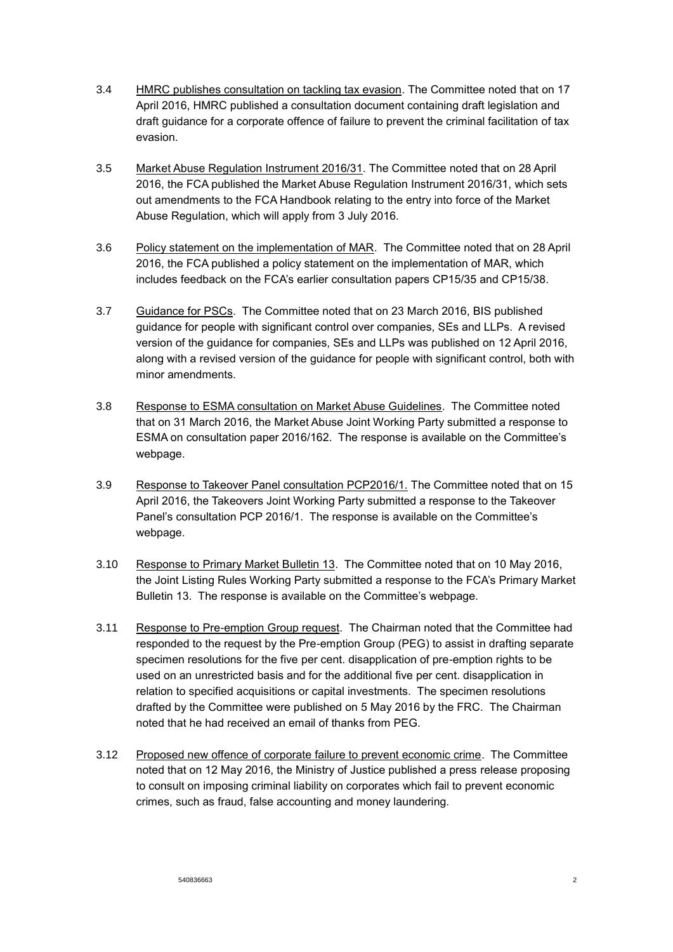- 3.4 HMRC publishes consultation on tackling tax evasion. The Committee noted that on 17 April 2016, HMRC published a consultation document containing draft legislation and draft guidance for a corporate offence of failure to prevent the criminal facilitation of tax evasion.
- 3.5 Market Abuse Regulation Instrument 2016/31. The Committee noted that on 28 April 2016, the FCA published the Market Abuse Regulation Instrument 2016/31, which sets out amendments to the FCA Handbook relating to the entry into force of the Market Abuse Regulation, which will apply from 3 July 2016.
- 3.6 Policy statement on the implementation of MAR. The Committee noted that on 28 April 2016, the FCA published a policy statement on the implementation of MAR, which includes feedback on the FCA's earlier consultation papers CP15/35 and CP15/38.
- 3.7 Guidance for PSCs. The Committee noted that on 23 March 2016, BIS published guidance for people with significant control over companies, SEs and LLPs. A revised version of the guidance for companies, SEs and LLPs was published on 12 April 2016, along with a revised version of the guidance for people with significant control, both with minor amendments.
- 3.8 Response to ESMA consultation on Market Abuse Guidelines. The Committee noted that on 31 March 2016, the Market Abuse Joint Working Party submitted a response to ESMA on consultation paper 2016/162. The response is available on the Committee's webpage.
- 3.9 Response to Takeover Panel consultation PCP2016/1. The Committee noted that on 15 April 2016, the Takeovers Joint Working Party submitted a response to the Takeover Panel's consultation PCP 2016/1. The response is available on the Committee's webpage.
- 3.10 Response to Primary Market Bulletin 13. The Committee noted that on 10 May 2016, the Joint Listing Rules Working Party submitted a response to the FCA's Primary Market Bulletin 13. The response is available on the Committee's webpage.
- 3.11 Response to Pre-emption Group request. The Chairman noted that the Committee had responded to the request by the Pre-emption Group (PEG) to assist in drafting separate specimen resolutions for the five per cent. disapplication of pre-emption rights to be used on an unrestricted basis and for the additional five per cent. disapplication in relation to specified acquisitions or capital investments. The specimen resolutions drafted by the Committee were published on 5 May 2016 by the FRC. The Chairman noted that he had received an email of thanks from PEG.
- 3.12 Proposed new offence of corporate failure to prevent economic crime. The Committee noted that on 12 May 2016, the Ministry of Justice published a press release proposing to consult on imposing criminal liability on corporates which fail to prevent economic crimes, such as fraud, false accounting and money laundering.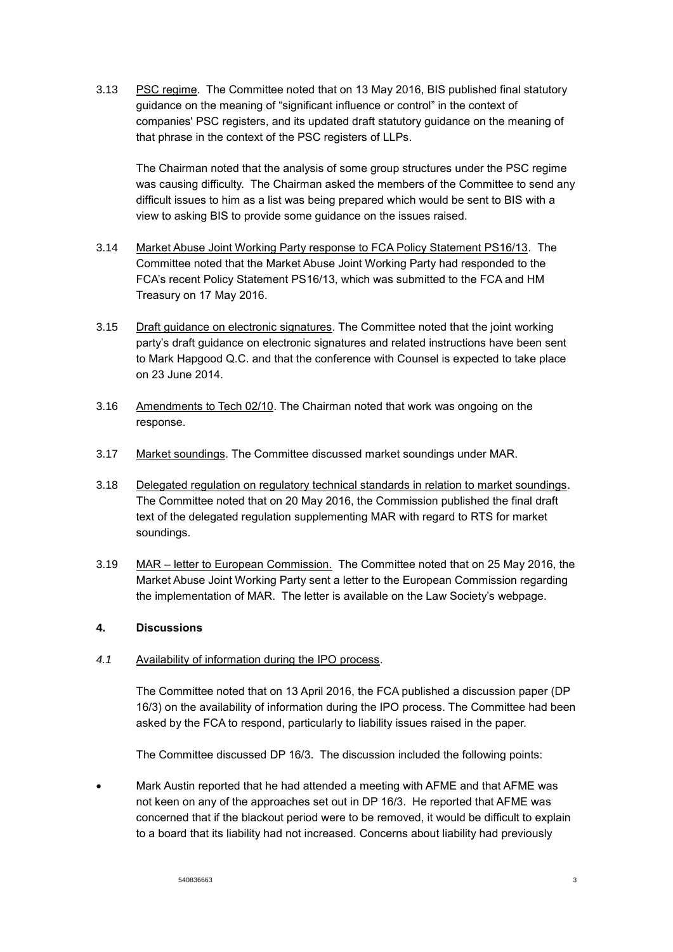3.13 PSC regime. The Committee noted that on 13 May 2016, BIS published final statutory guidance on the meaning of "significant influence or control" in the context of companies' PSC registers, and its updated draft statutory guidance on the meaning of that phrase in the context of the PSC registers of LLPs.

The Chairman noted that the analysis of some group structures under the PSC regime was causing difficulty. The Chairman asked the members of the Committee to send any difficult issues to him as a list was being prepared which would be sent to BIS with a view to asking BIS to provide some guidance on the issues raised.

- 3.14 Market Abuse Joint Working Party response to FCA Policy Statement PS16/13. The Committee noted that the Market Abuse Joint Working Party had responded to the FCA's recent Policy Statement PS16/13, which was submitted to the FCA and HM Treasury on 17 May 2016.
- 3.15 Draft guidance on electronic signatures. The Committee noted that the joint working party's draft guidance on electronic signatures and related instructions have been sent to Mark Hapgood Q.C. and that the conference with Counsel is expected to take place on 23 June 2014.
- 3.16 Amendments to Tech 02/10. The Chairman noted that work was ongoing on the response.
- 3.17 Market soundings. The Committee discussed market soundings under MAR.
- 3.18 Delegated regulation on regulatory technical standards in relation to market soundings. The Committee noted that on 20 May 2016, the Commission published the final draft text of the delegated regulation supplementing MAR with regard to RTS for market soundings.
- 3.19 MAR letter to European Commission. The Committee noted that on 25 May 2016, the Market Abuse Joint Working Party sent a letter to the European Commission regarding the implementation of MAR. The letter is available on the Law Society's webpage.

# **4. Discussions**

*4.1* Availability of information during the IPO process.

The Committee noted that on 13 April 2016, the FCA published a discussion paper (DP 16/3) on the availability of information during the IPO process. The Committee had been asked by the FCA to respond, particularly to liability issues raised in the paper.

The Committee discussed DP 16/3. The discussion included the following points:

• Mark Austin reported that he had attended a meeting with AFME and that AFME was not keen on any of the approaches set out in DP 16/3. He reported that AFME was concerned that if the blackout period were to be removed, it would be difficult to explain to a board that its liability had not increased. Concerns about liability had previously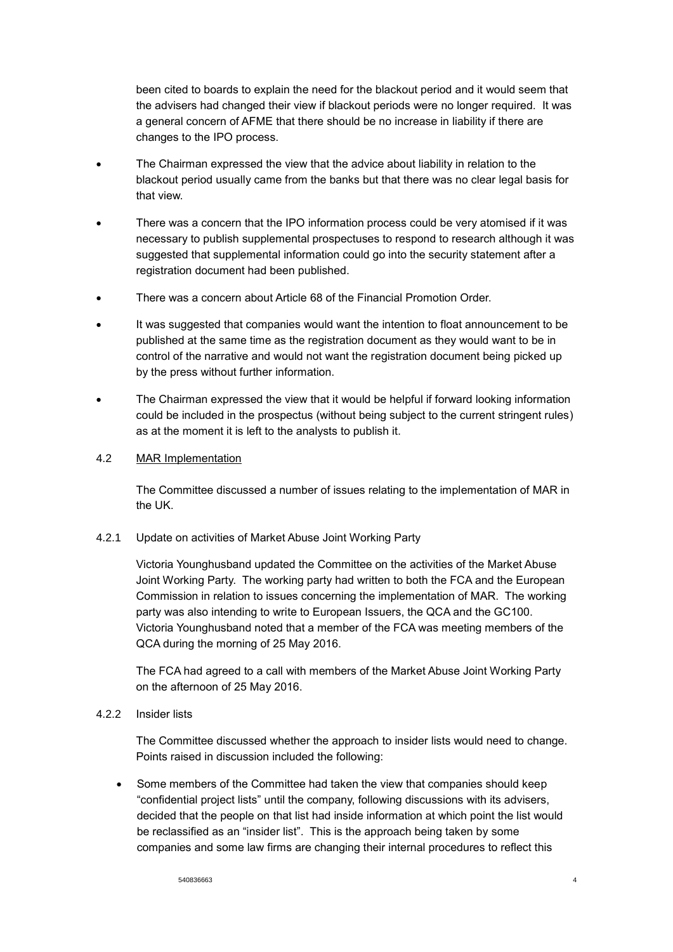been cited to boards to explain the need for the blackout period and it would seem that the advisers had changed their view if blackout periods were no longer required. It was a general concern of AFME that there should be no increase in liability if there are changes to the IPO process.

- The Chairman expressed the view that the advice about liability in relation to the blackout period usually came from the banks but that there was no clear legal basis for that view.
- There was a concern that the IPO information process could be very atomised if it was necessary to publish supplemental prospectuses to respond to research although it was suggested that supplemental information could go into the security statement after a registration document had been published.
- There was a concern about Article 68 of the Financial Promotion Order.
- It was suggested that companies would want the intention to float announcement to be published at the same time as the registration document as they would want to be in control of the narrative and would not want the registration document being picked up by the press without further information.
- The Chairman expressed the view that it would be helpful if forward looking information could be included in the prospectus (without being subject to the current stringent rules) as at the moment it is left to the analysts to publish it.

### 4.2 MAR Implementation

The Committee discussed a number of issues relating to the implementation of MAR in the UK.

## 4.2.1 Update on activities of Market Abuse Joint Working Party

Victoria Younghusband updated the Committee on the activities of the Market Abuse Joint Working Party. The working party had written to both the FCA and the European Commission in relation to issues concerning the implementation of MAR. The working party was also intending to write to European Issuers, the QCA and the GC100. Victoria Younghusband noted that a member of the FCA was meeting members of the QCA during the morning of 25 May 2016.

The FCA had agreed to a call with members of the Market Abuse Joint Working Party on the afternoon of 25 May 2016.

#### 4.2.2 Insider lists

The Committee discussed whether the approach to insider lists would need to change. Points raised in discussion included the following:

 Some members of the Committee had taken the view that companies should keep "confidential project lists" until the company, following discussions with its advisers, decided that the people on that list had inside information at which point the list would be reclassified as an "insider list". This is the approach being taken by some companies and some law firms are changing their internal procedures to reflect this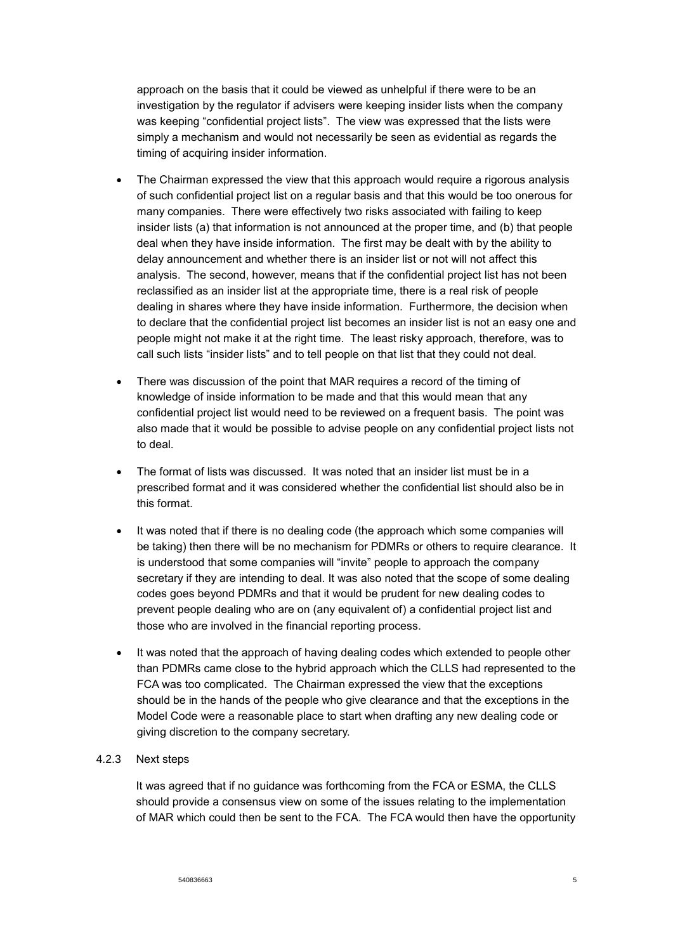approach on the basis that it could be viewed as unhelpful if there were to be an investigation by the regulator if advisers were keeping insider lists when the company was keeping "confidential project lists". The view was expressed that the lists were simply a mechanism and would not necessarily be seen as evidential as regards the timing of acquiring insider information.

- The Chairman expressed the view that this approach would require a rigorous analysis of such confidential project list on a regular basis and that this would be too onerous for many companies. There were effectively two risks associated with failing to keep insider lists (a) that information is not announced at the proper time, and (b) that people deal when they have inside information. The first may be dealt with by the ability to delay announcement and whether there is an insider list or not will not affect this analysis. The second, however, means that if the confidential project list has not been reclassified as an insider list at the appropriate time, there is a real risk of people dealing in shares where they have inside information. Furthermore, the decision when to declare that the confidential project list becomes an insider list is not an easy one and people might not make it at the right time. The least risky approach, therefore, was to call such lists "insider lists" and to tell people on that list that they could not deal.
- There was discussion of the point that MAR requires a record of the timing of knowledge of inside information to be made and that this would mean that any confidential project list would need to be reviewed on a frequent basis. The point was also made that it would be possible to advise people on any confidential project lists not to deal.
- The format of lists was discussed. It was noted that an insider list must be in a prescribed format and it was considered whether the confidential list should also be in this format.
- It was noted that if there is no dealing code (the approach which some companies will be taking) then there will be no mechanism for PDMRs or others to require clearance. It is understood that some companies will "invite" people to approach the company secretary if they are intending to deal. It was also noted that the scope of some dealing codes goes beyond PDMRs and that it would be prudent for new dealing codes to prevent people dealing who are on (any equivalent of) a confidential project list and those who are involved in the financial reporting process.
- It was noted that the approach of having dealing codes which extended to people other than PDMRs came close to the hybrid approach which the CLLS had represented to the FCA was too complicated. The Chairman expressed the view that the exceptions should be in the hands of the people who give clearance and that the exceptions in the Model Code were a reasonable place to start when drafting any new dealing code or giving discretion to the company secretary.

# 4.2.3 Next steps

It was agreed that if no guidance was forthcoming from the FCA or ESMA, the CLLS should provide a consensus view on some of the issues relating to the implementation of MAR which could then be sent to the FCA. The FCA would then have the opportunity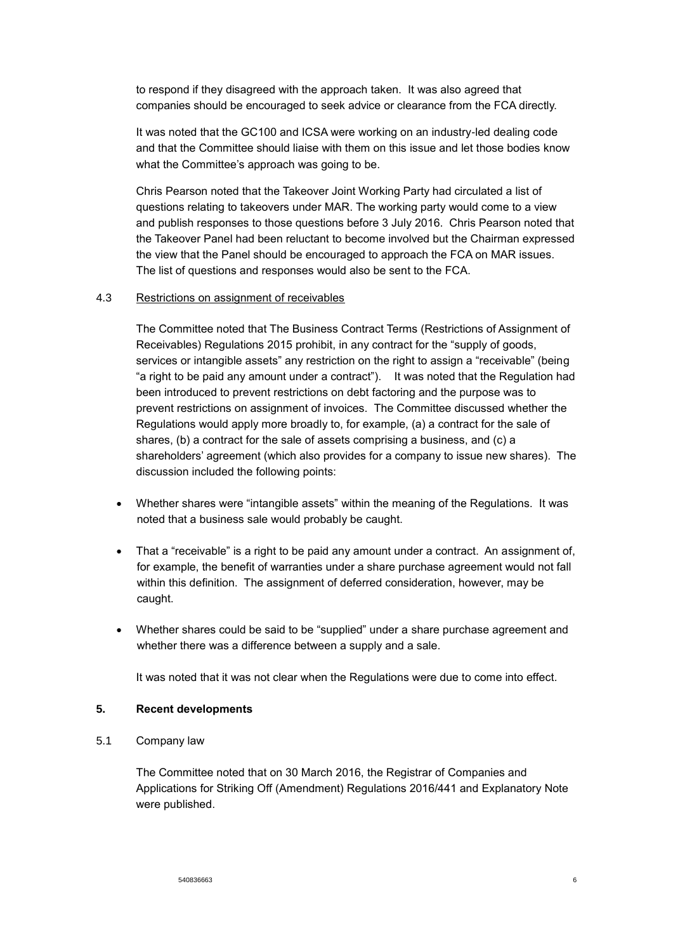to respond if they disagreed with the approach taken. It was also agreed that companies should be encouraged to seek advice or clearance from the FCA directly.

It was noted that the GC100 and ICSA were working on an industry-led dealing code and that the Committee should liaise with them on this issue and let those bodies know what the Committee's approach was going to be.

Chris Pearson noted that the Takeover Joint Working Party had circulated a list of questions relating to takeovers under MAR. The working party would come to a view and publish responses to those questions before 3 July 2016. Chris Pearson noted that the Takeover Panel had been reluctant to become involved but the Chairman expressed the view that the Panel should be encouraged to approach the FCA on MAR issues. The list of questions and responses would also be sent to the FCA.

#### 4.3 Restrictions on assignment of receivables

The Committee noted that The Business Contract Terms (Restrictions of Assignment of Receivables) Regulations 2015 prohibit, in any contract for the "supply of goods, services or intangible assets" any restriction on the right to assign a "receivable" (being "a right to be paid any amount under a contract"). It was noted that the Regulation had been introduced to prevent restrictions on debt factoring and the purpose was to prevent restrictions on assignment of invoices. The Committee discussed whether the Regulations would apply more broadly to, for example, (a) a contract for the sale of shares, (b) a contract for the sale of assets comprising a business, and (c) a shareholders' agreement (which also provides for a company to issue new shares). The discussion included the following points:

- Whether shares were "intangible assets" within the meaning of the Regulations. It was noted that a business sale would probably be caught.
- That a "receivable" is a right to be paid any amount under a contract. An assignment of, for example, the benefit of warranties under a share purchase agreement would not fall within this definition. The assignment of deferred consideration, however, may be caught.
- Whether shares could be said to be "supplied" under a share purchase agreement and whether there was a difference between a supply and a sale.

It was noted that it was not clear when the Regulations were due to come into effect*.*

#### **5. Recent developments**

5.1 Company law

The Committee noted that on 30 March 2016, the Registrar of Companies and Applications for Striking Off (Amendment) Regulations 2016/441 and Explanatory Note were published.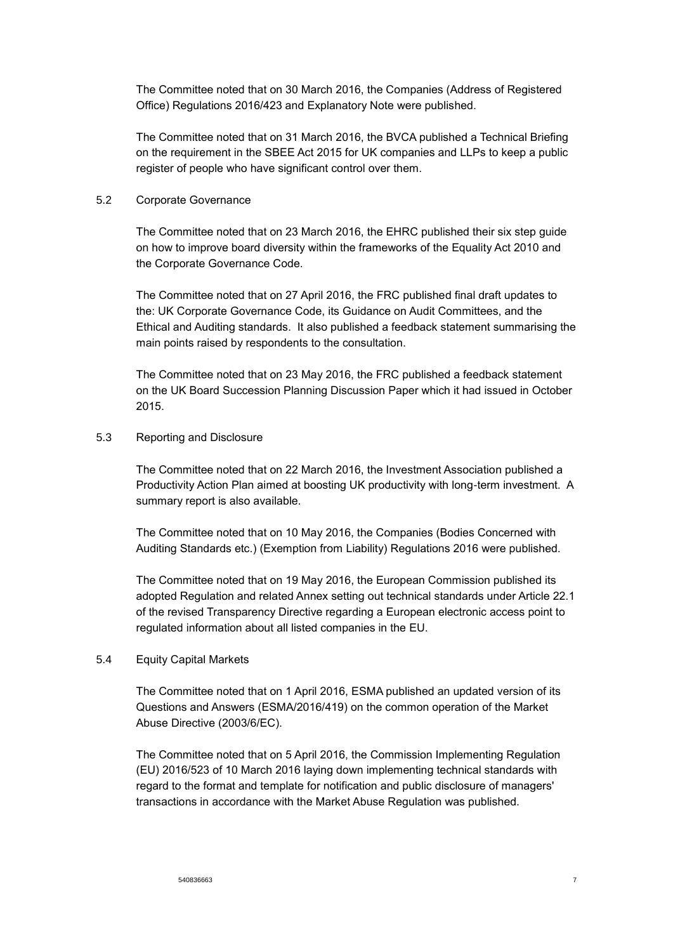The Committee noted that on 30 March 2016, the Companies (Address of Registered Office) Regulations 2016/423 and Explanatory Note were published.

The Committee noted that on 31 March 2016, the BVCA published a Technical Briefing on the requirement in the SBEE Act 2015 for UK companies and LLPs to keep a public register of people who have significant control over them.

### 5.2 Corporate Governance

The Committee noted that on 23 March 2016, the EHRC published their six step guide on how to improve board diversity within the frameworks of the Equality Act 2010 and the Corporate Governance Code.

The Committee noted that on 27 April 2016, the FRC published final draft updates to the: UK Corporate Governance Code, its Guidance on Audit Committees, and the Ethical and Auditing standards. It also published a feedback statement summarising the main points raised by respondents to the consultation.

The Committee noted that on 23 May 2016, the FRC published a feedback statement on the UK Board Succession Planning Discussion Paper which it had issued in October 2015.

### 5.3 Reporting and Disclosure

The Committee noted that on 22 March 2016, the Investment Association published a Productivity Action Plan aimed at boosting UK productivity with long-term investment. A summary report is also available.

The Committee noted that on 10 May 2016, the Companies (Bodies Concerned with Auditing Standards etc.) (Exemption from Liability) Regulations 2016 were published.

The Committee noted that on 19 May 2016, the European Commission published its adopted Regulation and related Annex setting out technical standards under Article 22.1 of the revised Transparency Directive regarding a European electronic access point to regulated information about all listed companies in the EU.

# 5.4 Equity Capital Markets

The Committee noted that on 1 April 2016, ESMA published an updated version of its Questions and Answers (ESMA/2016/419) on the common operation of the Market Abuse Directive (2003/6/EC).

The Committee noted that on 5 April 2016, the Commission Implementing Regulation (EU) 2016/523 of 10 March 2016 laying down implementing technical standards with regard to the format and template for notification and public disclosure of managers' transactions in accordance with the Market Abuse Regulation was published.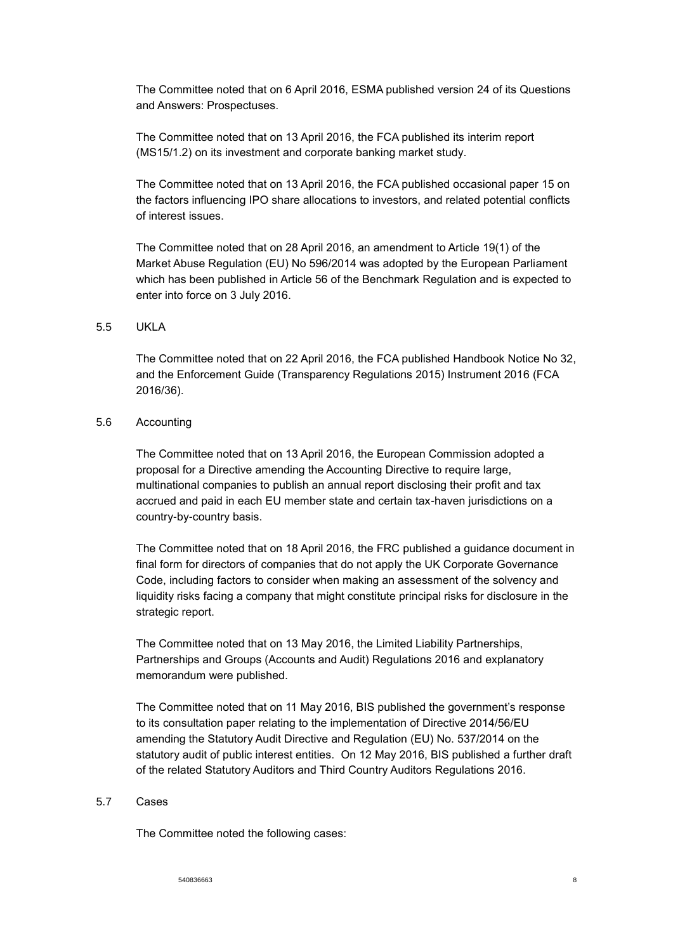The Committee noted that on 6 April 2016, ESMA published version 24 of its Questions and Answers: Prospectuses.

The Committee noted that on 13 April 2016, the FCA published its interim report (MS15/1.2) on its investment and corporate banking market study.

The Committee noted that on 13 April 2016, the FCA published occasional paper 15 on the factors influencing IPO share allocations to investors, and related potential conflicts of interest issues.

The Committee noted that on 28 April 2016, an amendment to Article 19(1) of the Market Abuse Regulation (EU) No 596/2014 was adopted by the European Parliament which has been published in Article 56 of the Benchmark Regulation and is expected to enter into force on 3 July 2016.

#### 5.5 UKLA

The Committee noted that on 22 April 2016, the FCA published Handbook Notice No 32, and the Enforcement Guide (Transparency Regulations 2015) Instrument 2016 (FCA 2016/36).

### 5.6 Accounting

The Committee noted that on 13 April 2016, the European Commission adopted a proposal for a Directive amending the Accounting Directive to require large, multinational companies to publish an annual report disclosing their profit and tax accrued and paid in each EU member state and certain tax-haven jurisdictions on a country-by-country basis.

The Committee noted that on 18 April 2016, the FRC published a guidance document in final form for directors of companies that do not apply the UK Corporate Governance Code, including factors to consider when making an assessment of the solvency and liquidity risks facing a company that might constitute principal risks for disclosure in the strategic report.

The Committee noted that on 13 May 2016, the Limited Liability Partnerships, Partnerships and Groups (Accounts and Audit) Regulations 2016 and explanatory memorandum were published.

The Committee noted that on 11 May 2016, BIS published the government's response to its consultation paper relating to the implementation of Directive 2014/56/EU amending the Statutory Audit Directive and Regulation (EU) No. 537/2014 on the statutory audit of public interest entities. On 12 May 2016, BIS published a further draft of the related Statutory Auditors and Third Country Auditors Regulations 2016.

#### 5.7 Cases

The Committee noted the following cases: